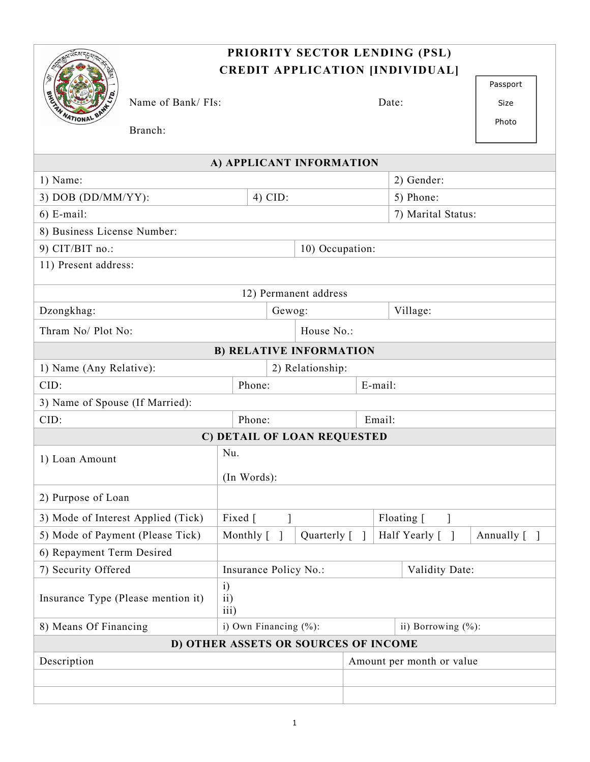|                                                                       | PRIORITY SECTOR LENDING (PSL)        |                                                 |                    |                       |  |                  |                           |              |  |  |  |
|-----------------------------------------------------------------------|--------------------------------------|-------------------------------------------------|--------------------|-----------------------|--|------------------|---------------------------|--------------|--|--|--|
|                                                                       | Name of Bank/ FIs:                   | <b>CREDIT APPLICATION [INDIVIDUAL]</b><br>Date: |                    |                       |  | Passport<br>Size |                           |              |  |  |  |
|                                                                       | Branch:                              |                                                 |                    |                       |  |                  |                           |              |  |  |  |
|                                                                       |                                      | A) APPLICANT INFORMATION                        |                    |                       |  |                  |                           |              |  |  |  |
| 1) Name:                                                              |                                      |                                                 |                    |                       |  | 2) Gender:       |                           |              |  |  |  |
| 3) DOB (DD/MM/YY):                                                    |                                      |                                                 | $4)$ CID:          |                       |  |                  | 5) Phone:                 |              |  |  |  |
| $6)$ E-mail:                                                          |                                      |                                                 |                    |                       |  |                  | 7) Marital Status:        |              |  |  |  |
| 8) Business License Number:                                           |                                      |                                                 |                    |                       |  |                  |                           |              |  |  |  |
| 9) CIT/BIT no.:                                                       |                                      |                                                 |                    | 10) Occupation:       |  |                  |                           |              |  |  |  |
| 11) Present address:                                                  |                                      |                                                 |                    |                       |  |                  |                           |              |  |  |  |
|                                                                       |                                      |                                                 |                    | 12) Permanent address |  |                  |                           |              |  |  |  |
| Dzongkhag:                                                            |                                      |                                                 | Gewog:             |                       |  | Village:         |                           |              |  |  |  |
| Thram No/ Plot No:                                                    |                                      |                                                 | House No.:         |                       |  |                  |                           |              |  |  |  |
|                                                                       |                                      | <b>B) RELATIVE INFORMATION</b>                  |                    |                       |  |                  |                           |              |  |  |  |
| 1) Name (Any Relative):                                               |                                      |                                                 |                    | 2) Relationship:      |  |                  |                           |              |  |  |  |
| CID:                                                                  |                                      | Phone:                                          |                    |                       |  | E-mail:          |                           |              |  |  |  |
| 3) Name of Spouse (If Married):                                       |                                      |                                                 |                    |                       |  |                  |                           |              |  |  |  |
| CID:                                                                  | Phone:                               |                                                 |                    | Email:                |  |                  |                           |              |  |  |  |
|                                                                       |                                      | C) DETAIL OF LOAN REQUESTED                     |                    |                       |  |                  |                           |              |  |  |  |
| 1) Loan Amount                                                        |                                      | Nu.<br>(In Words):                              |                    |                       |  |                  |                           |              |  |  |  |
| 2) Purpose of Loan                                                    |                                      |                                                 |                    |                       |  |                  |                           |              |  |  |  |
| 3) Mode of Interest Applied (Tick)                                    |                                      | Fixed [                                         |                    |                       |  | Floating [       |                           |              |  |  |  |
| 5) Mode of Payment (Please Tick)                                      |                                      | Monthly [                                       | $\big]$            | Quarterly [           |  |                  | Half Yearly [<br>- 1      | Annually [ ] |  |  |  |
| 6) Repayment Term Desired                                             |                                      |                                                 |                    |                       |  |                  |                           |              |  |  |  |
| 7) Security Offered                                                   |                                      | Insurance Policy No.:                           |                    |                       |  |                  | Validity Date:            |              |  |  |  |
| i)<br>$\overline{ii}$ )<br>Insurance Type (Please mention it)<br>iii) |                                      |                                                 |                    |                       |  |                  |                           |              |  |  |  |
| 8) Means Of Financing<br>i) Own Financing (%):                        |                                      |                                                 | ii) Borrowing (%): |                       |  |                  |                           |              |  |  |  |
|                                                                       | D) OTHER ASSETS OR SOURCES OF INCOME |                                                 |                    |                       |  |                  |                           |              |  |  |  |
|                                                                       |                                      |                                                 |                    |                       |  |                  | Amount per month or value |              |  |  |  |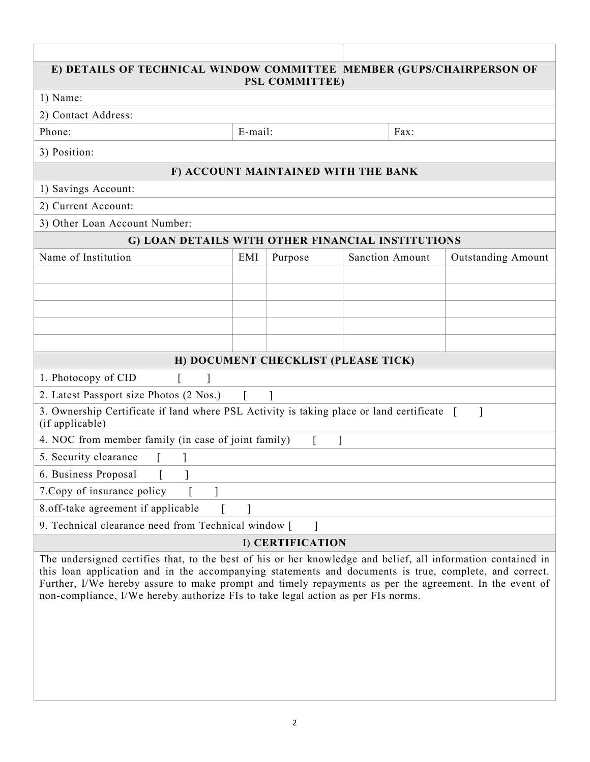| E) DETAILS OF TECHNICAL WINDOW COMMITTEE MEMBER (GUPS/CHAIRPERSON OF<br><b>PSL COMMITTEE)</b><br>1) Name:<br>2) Contact Address:<br>Phone:<br>E-mail:<br>Fax:<br>3) Position:<br>F) ACCOUNT MAINTAINED WITH THE BANK<br>1) Savings Account:<br>2) Current Account:<br>3) Other Loan Account Number:<br>G) LOAN DETAILS WITH OTHER FINANCIAL INSTITUTIONS<br>Name of Institution<br>EMI<br>Purpose<br><b>Sanction Amount</b><br>H) DOCUMENT CHECKLIST (PLEASE TICK)<br>1. Photocopy of CID<br>2. Latest Passport size Photos (2 Nos.)<br>3. Ownership Certificate if land where PSL Activity is taking place or land certificate<br>(if applicable)<br>4. NOC from member family (in case of joint family)<br>5. Security clearance<br>6. Business Proposal<br>7. Copy of insurance policy<br>8.off-take agreement if applicable<br>9. Technical clearance need from Technical window [<br>I) CERTIFICATION<br>The undersigned certifies that, to the best of his or her knowledge and belief, all information contained in<br>this loan application and in the accompanying statements and documents is true, complete, and correct.<br>Further, I/We hereby assure to make prompt and timely repayments as per the agreement. In the event of<br>non-compliance, I/We hereby authorize FIs to take legal action as per FIs norms. |  |  |                           |
|------------------------------------------------------------------------------------------------------------------------------------------------------------------------------------------------------------------------------------------------------------------------------------------------------------------------------------------------------------------------------------------------------------------------------------------------------------------------------------------------------------------------------------------------------------------------------------------------------------------------------------------------------------------------------------------------------------------------------------------------------------------------------------------------------------------------------------------------------------------------------------------------------------------------------------------------------------------------------------------------------------------------------------------------------------------------------------------------------------------------------------------------------------------------------------------------------------------------------------------------------------------------------------------------------------------------------------|--|--|---------------------------|
|                                                                                                                                                                                                                                                                                                                                                                                                                                                                                                                                                                                                                                                                                                                                                                                                                                                                                                                                                                                                                                                                                                                                                                                                                                                                                                                                    |  |  |                           |
|                                                                                                                                                                                                                                                                                                                                                                                                                                                                                                                                                                                                                                                                                                                                                                                                                                                                                                                                                                                                                                                                                                                                                                                                                                                                                                                                    |  |  |                           |
|                                                                                                                                                                                                                                                                                                                                                                                                                                                                                                                                                                                                                                                                                                                                                                                                                                                                                                                                                                                                                                                                                                                                                                                                                                                                                                                                    |  |  |                           |
|                                                                                                                                                                                                                                                                                                                                                                                                                                                                                                                                                                                                                                                                                                                                                                                                                                                                                                                                                                                                                                                                                                                                                                                                                                                                                                                                    |  |  |                           |
|                                                                                                                                                                                                                                                                                                                                                                                                                                                                                                                                                                                                                                                                                                                                                                                                                                                                                                                                                                                                                                                                                                                                                                                                                                                                                                                                    |  |  |                           |
|                                                                                                                                                                                                                                                                                                                                                                                                                                                                                                                                                                                                                                                                                                                                                                                                                                                                                                                                                                                                                                                                                                                                                                                                                                                                                                                                    |  |  |                           |
|                                                                                                                                                                                                                                                                                                                                                                                                                                                                                                                                                                                                                                                                                                                                                                                                                                                                                                                                                                                                                                                                                                                                                                                                                                                                                                                                    |  |  |                           |
|                                                                                                                                                                                                                                                                                                                                                                                                                                                                                                                                                                                                                                                                                                                                                                                                                                                                                                                                                                                                                                                                                                                                                                                                                                                                                                                                    |  |  |                           |
|                                                                                                                                                                                                                                                                                                                                                                                                                                                                                                                                                                                                                                                                                                                                                                                                                                                                                                                                                                                                                                                                                                                                                                                                                                                                                                                                    |  |  |                           |
|                                                                                                                                                                                                                                                                                                                                                                                                                                                                                                                                                                                                                                                                                                                                                                                                                                                                                                                                                                                                                                                                                                                                                                                                                                                                                                                                    |  |  |                           |
|                                                                                                                                                                                                                                                                                                                                                                                                                                                                                                                                                                                                                                                                                                                                                                                                                                                                                                                                                                                                                                                                                                                                                                                                                                                                                                                                    |  |  | <b>Outstanding Amount</b> |
|                                                                                                                                                                                                                                                                                                                                                                                                                                                                                                                                                                                                                                                                                                                                                                                                                                                                                                                                                                                                                                                                                                                                                                                                                                                                                                                                    |  |  |                           |
|                                                                                                                                                                                                                                                                                                                                                                                                                                                                                                                                                                                                                                                                                                                                                                                                                                                                                                                                                                                                                                                                                                                                                                                                                                                                                                                                    |  |  |                           |
|                                                                                                                                                                                                                                                                                                                                                                                                                                                                                                                                                                                                                                                                                                                                                                                                                                                                                                                                                                                                                                                                                                                                                                                                                                                                                                                                    |  |  |                           |
|                                                                                                                                                                                                                                                                                                                                                                                                                                                                                                                                                                                                                                                                                                                                                                                                                                                                                                                                                                                                                                                                                                                                                                                                                                                                                                                                    |  |  |                           |
|                                                                                                                                                                                                                                                                                                                                                                                                                                                                                                                                                                                                                                                                                                                                                                                                                                                                                                                                                                                                                                                                                                                                                                                                                                                                                                                                    |  |  |                           |
|                                                                                                                                                                                                                                                                                                                                                                                                                                                                                                                                                                                                                                                                                                                                                                                                                                                                                                                                                                                                                                                                                                                                                                                                                                                                                                                                    |  |  |                           |
|                                                                                                                                                                                                                                                                                                                                                                                                                                                                                                                                                                                                                                                                                                                                                                                                                                                                                                                                                                                                                                                                                                                                                                                                                                                                                                                                    |  |  |                           |
|                                                                                                                                                                                                                                                                                                                                                                                                                                                                                                                                                                                                                                                                                                                                                                                                                                                                                                                                                                                                                                                                                                                                                                                                                                                                                                                                    |  |  |                           |
|                                                                                                                                                                                                                                                                                                                                                                                                                                                                                                                                                                                                                                                                                                                                                                                                                                                                                                                                                                                                                                                                                                                                                                                                                                                                                                                                    |  |  |                           |
|                                                                                                                                                                                                                                                                                                                                                                                                                                                                                                                                                                                                                                                                                                                                                                                                                                                                                                                                                                                                                                                                                                                                                                                                                                                                                                                                    |  |  |                           |
|                                                                                                                                                                                                                                                                                                                                                                                                                                                                                                                                                                                                                                                                                                                                                                                                                                                                                                                                                                                                                                                                                                                                                                                                                                                                                                                                    |  |  |                           |
|                                                                                                                                                                                                                                                                                                                                                                                                                                                                                                                                                                                                                                                                                                                                                                                                                                                                                                                                                                                                                                                                                                                                                                                                                                                                                                                                    |  |  |                           |
|                                                                                                                                                                                                                                                                                                                                                                                                                                                                                                                                                                                                                                                                                                                                                                                                                                                                                                                                                                                                                                                                                                                                                                                                                                                                                                                                    |  |  |                           |
|                                                                                                                                                                                                                                                                                                                                                                                                                                                                                                                                                                                                                                                                                                                                                                                                                                                                                                                                                                                                                                                                                                                                                                                                                                                                                                                                    |  |  |                           |
|                                                                                                                                                                                                                                                                                                                                                                                                                                                                                                                                                                                                                                                                                                                                                                                                                                                                                                                                                                                                                                                                                                                                                                                                                                                                                                                                    |  |  |                           |
|                                                                                                                                                                                                                                                                                                                                                                                                                                                                                                                                                                                                                                                                                                                                                                                                                                                                                                                                                                                                                                                                                                                                                                                                                                                                                                                                    |  |  |                           |

 $\Gamma$